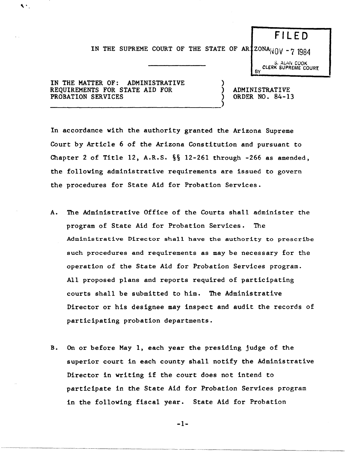## F I LED

IN THE SUPREME COURT OF THE STATE OF AR  $120NA_{\dot{N}}(V - 7)$  1984

)

S. ALAN COOK CLERK SUPREME COURT.<br>BY

IN THE MATTER OF: ADMINISTRATIVE REQUIREMENTS FOR STATE AID FOR PROBATION SERVICES

 $\blacklozenge$ 

------------------------------------)

) ADMINISTRATIVE ) ORDER NO. 84-13

In accordance with the authority granted the Arizona Supreme Court by Article 6 of the Arizona Constitution and pursuant to Chapter 2 of Title 12, A.R.S.  $\S$  12-261 through -266 as amended, the following administrative requirements are issued to govern the procedures for State Aid for Probation Services.

- A. The Administrative Office of the Courts shall administer the program of State Aid for Probation Services. The Administrative Director shall have the authority to prescribe such procedures and requirements as may be necessary for the operation of the State Aid for Probation Services program. All proposed plans and reports required of participating courts shall be submitted to him. The Administrative Director or his designee may inspect and audit the records of participating probation departments.
- B. On or before May 1, each year the presiding judge of the superior court in each county shall notify the Administrative Director in writing if the court does not intend to participate in the State Aid for Probation Services program in the following fiscal year. State Aid for Probation

-1-

---~~~----~~~-~-~~-.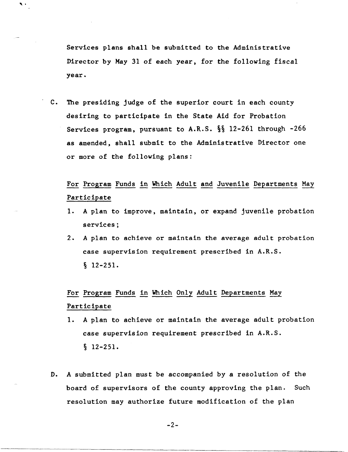Services plans shall be submitted to the Administrative Director by May 31 of each year, for the following fiscal year.

 $\cdot$  .

c. The presiding judge of the superior court in each county desiring to participate in the State Aid for Probation Services program, pursuant to A.R.S. §§ 12-261 through -266 as amended, shall submit to the Administrative Director one or more of the following plans:

For Program Funds in Which Adult and Juvenile Departments May Participate

- 1. A plan to improve, maintain, or expand juvenile probation services;
- 2. A plan to achieve or maintain the average adult probation case supervision requirement prescribed in A.R.S. § 12-251.

For Program Funds in Which Only Adult Departments May Participate

- 1. A plan to achieve or maintain the average adult probation case supervision requirement prescribed in A.R.S. § 12-251.
- D. A submitted plan must be accompanied by a resolution of the board of supervisors of the county approving the plan. Such resolution may authorize future modification of the plan

-2-

-------------------------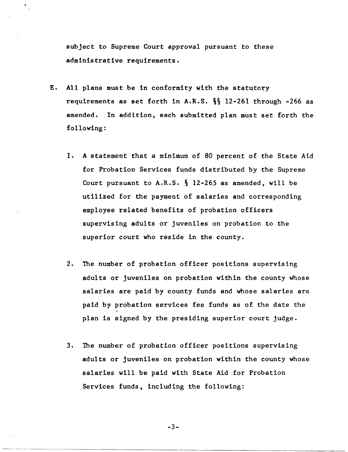subject to Supreme Court approval pursuant to these administrative requirements.

- E. All plans must be in conformity with the statutory requirements as set forth in A.R.S. §§ 12-261 through -266 as amended. In addition, each submitted plan must set forth the following:
	- 1. A statement that a minimum of 80 percent of the State Aid for Probation Services funds distributed by the Supreme Court pursuant to A.R.S. § 12-265 as amended, will be utilized for the payment of salaries and corresponding employee related benefits of probation officers supervising adults or juveniles on probation to the superior court who reside in the county.
	- 2. The number of probation officer positions supervising adults or juveniles on probation within the county whose salaries are paid by county funds and whose salaries are paid by probation services fee funds as of the date the plan is signed by the presiding superior court judge.
	- 3. The number of probation officer positions supervising adults or juveniles on probation within the county whose salaries will be paid with State Aid for Probation Services funds, including the following:

$$
-3-
$$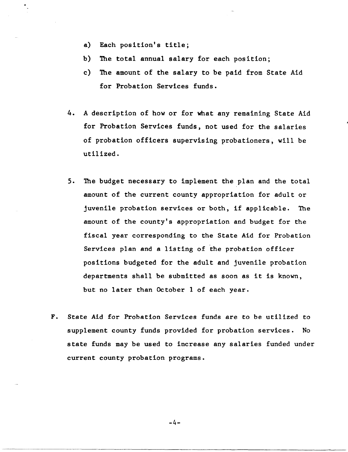- a) Each position's title;
- b) The total annual salary for each position;
- c) The amount of the salary to be paid from State Aid for Probation Services funds.
- 4. A description of how or for what any remaining State Aid for Probation Services funds, not used for the salaries of probation officers supervising probationers, will be utilized.
- 5. The budget necessary to implement the plan and the total amount of the current county appropriation for adult or juvenile probation services or both, if applicable. The amount of the county's appropriation and budget for the fiscal year corresponding to the State Aid for Probation Services plan and a listing of the probation officer positions budgeted for the adult and juvenile probation departments shall be submitted as soon as it is known, but no later than October I of each year.
- F. State Aid for Probation Services funds are to be utilized to supplement county funds provided for probation services. No state funds may be used to increase any salaries funded under current county probation programs.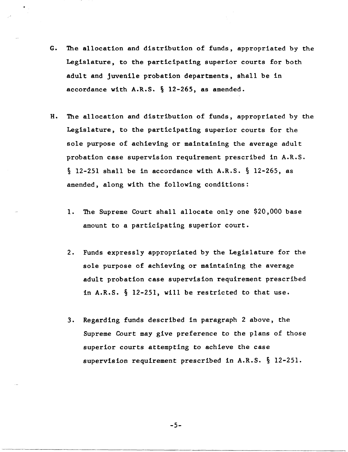- G. The allocation and distribution of funds, appropriated by the Legislature, to the participating superior courts for both adult and juvenile probation departments, shall be in accordance with A.R.S. § 12-265, as amended.
- H. The allocation and distribution of funds, appropriated by the Legislature, to the participating superior courts for the sole purpose of achieving or maintaining the average adult probation case supervision requirement prescribed in A.R.S. § 12-251 shall be in accordance with A.R.S. § 12-265, as amended, along with the following conditions:
	- 1. The Supreme Court shall allocate only one \$20,000 base amount to a participating superior court.
	- 2. Funds expressly appropriated by the Legislature for the sole purpose of achieving or maintaining the average adult probation case supervision requirement prescribed in A.R.S. § 12-251, will be restricted to that use.
	- 3. Regarding funds described in paragraph 2 above, the Supreme Court may give preference to the plans of those superior courts attempting to achieve the case supervision requirement prescribed in A.R.S. § 12-251.

-5-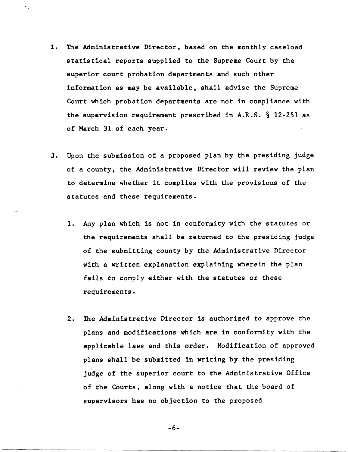- I. The Administrative Director, based on the monthly caseload statistical reports supplied to the Supreme Court by the superior court probation departments and such other information as may be available, shall advise the Supreme Court which probation departments are not in compliance with the supervision requirement prescribed in A.R.S. § 12-251 as of March 31 of each year.
- J. Upon the submission of a proposed plan by the presiding judge of a county, the Administrative Director will review the plan to determine whether it complies with the provisions of the statutes and these requirements.
	- 1. Any plan which is not in conformity with the statutes or the requirements shall be returned to the presiding judge of the submitting county by the Administrative Director with a written explanation explaining wherein the plan fails to comply either with the statutes or these requirements.
	- 2. The Administrative Director is authorized to approve the plans and modifications which are in conformity with the applicable laws and this order. Modification of approved plans shall be submitted in writing by the presiding judge of the superior court to the Administrative Office of the Courts, along with a notice that the board of supervisors has no objection to the proposed

-6-

--------------------------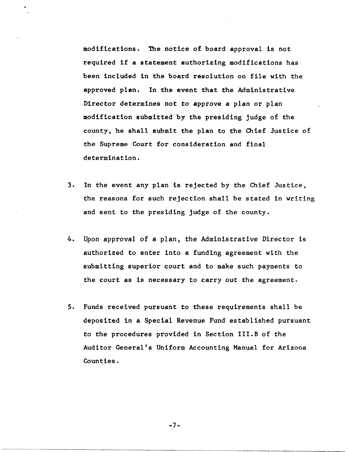modifications. The notice of board approval is not required if a statement authorizing modifications has been included in the board resolution on file with the approved plan. In the event that the Administrative Director determines not to approve a plan or plan modification submitted by the presiding judge of the county, he shall submit the plan to the Chief Justice of the Supreme Court for consideration and final determination.

- 3. In the event any plan is rejected by the Chief Justice, the reasons for such rejection shall be stated in writing and sent to the presiding judge of the county.
- 4. Upon approval of a plan, the Administrative Director is authorized to enter into a funding agreement with the submitting superior court and to make such payments to the court as is necessary to carry out the agreement.
- 5. Funds received pursuant to these requirements shall be deposited in a Special Revenue Fund established pursuant to the procedures provided in Section III.B of the Auditor General's Uniform Accounting Manual for Arizona Counties.

-7-